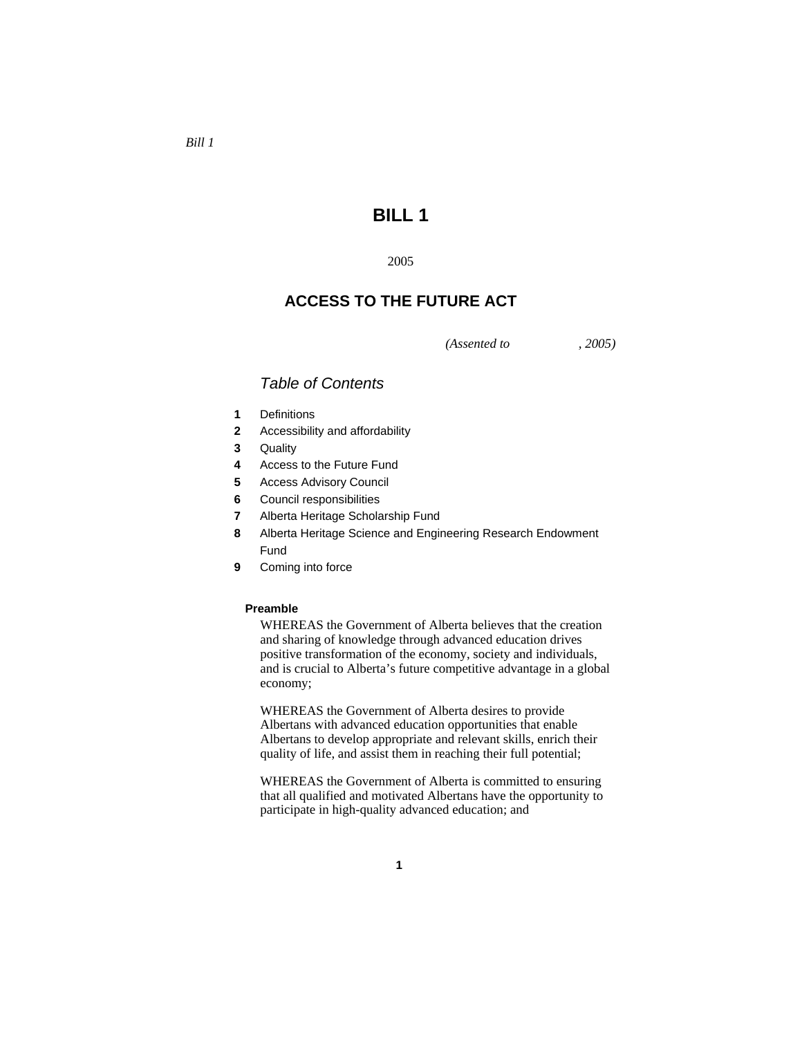# **BILL 1**

#### 2005

## **ACCESS TO THE FUTURE ACT**

*(Assented to , 2005)* 

## *Table of Contents*

- **1** Definitions
- **2** Accessibility and affordability
- **3** Quality
- **4** Access to the Future Fund
- **5** Access Advisory Council
- **6** Council responsibilities
- **7** Alberta Heritage Scholarship Fund
- **8** Alberta Heritage Science and Engineering Research Endowment Fund
- **9** Coming into force

#### **Preamble**

WHEREAS the Government of Alberta believes that the creation and sharing of knowledge through advanced education drives positive transformation of the economy, society and individuals, and is crucial to Alberta's future competitive advantage in a global economy;

WHEREAS the Government of Alberta desires to provide Albertans with advanced education opportunities that enable Albertans to develop appropriate and relevant skills, enrich their quality of life, and assist them in reaching their full potential;

WHEREAS the Government of Alberta is committed to ensuring that all qualified and motivated Albertans have the opportunity to participate in high-quality advanced education; and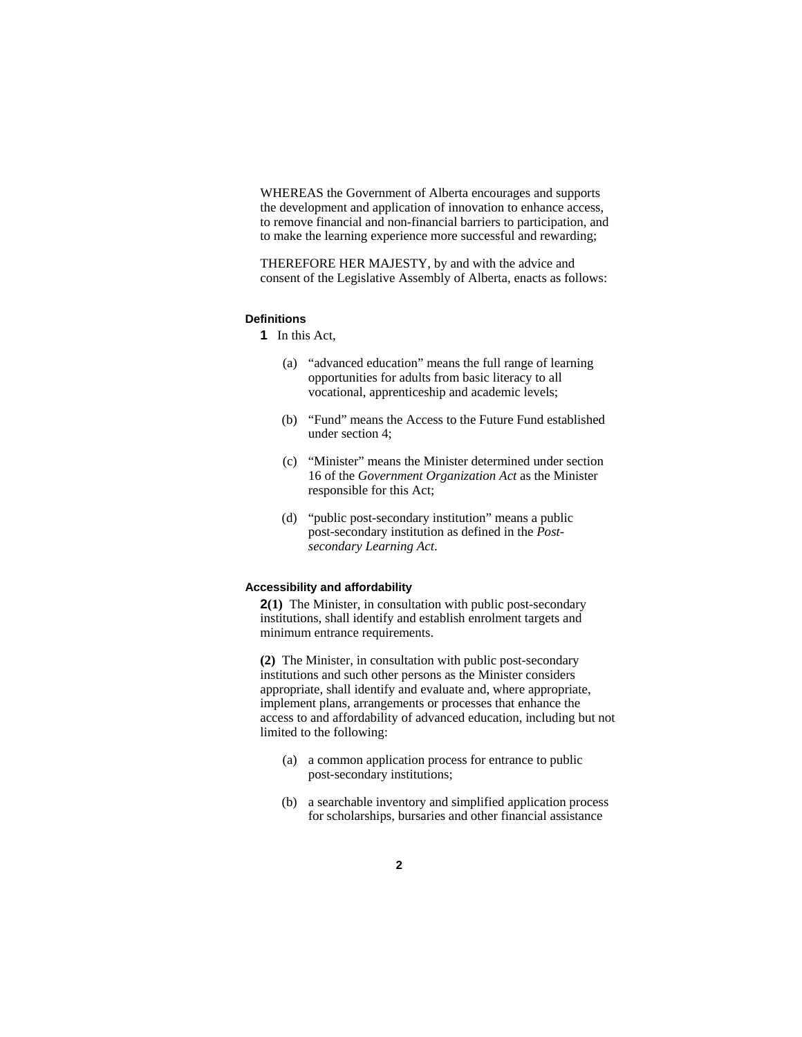WHEREAS the Government of Alberta encourages and supports the development and application of innovation to enhance access, to remove financial and non-financial barriers to participation, and to make the learning experience more successful and rewarding;

THEREFORE HER MAJESTY, by and with the advice and consent of the Legislative Assembly of Alberta, enacts as follows:

### **Definitions**

**1** In this Act,

- (a) "advanced education" means the full range of learning opportunities for adults from basic literacy to all vocational, apprenticeship and academic levels;
- (b) "Fund" means the Access to the Future Fund established under section 4;
- (c) "Minister" means the Minister determined under section 16 of the *Government Organization Act* as the Minister responsible for this Act;
- (d) "public post-secondary institution" means a public post-secondary institution as defined in the *Postsecondary Learning Act*.

#### **Accessibility and affordability**

**2(1)** The Minister, in consultation with public post-secondary institutions, shall identify and establish enrolment targets and minimum entrance requirements.

**(2)** The Minister, in consultation with public post-secondary institutions and such other persons as the Minister considers appropriate, shall identify and evaluate and, where appropriate, implement plans, arrangements or processes that enhance the access to and affordability of advanced education, including but not limited to the following:

- (a) a common application process for entrance to public post-secondary institutions;
- (b) a searchable inventory and simplified application process for scholarships, bursaries and other financial assistance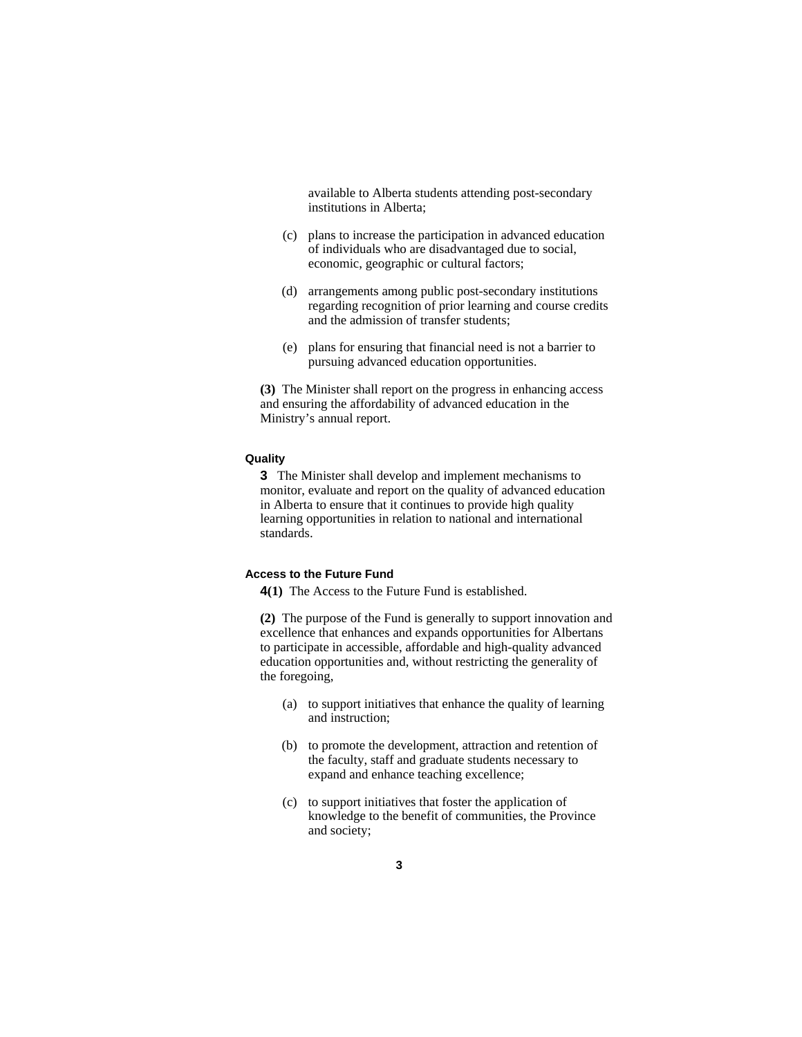available to Alberta students attending post-secondary institutions in Alberta;

- (c) plans to increase the participation in advanced education of individuals who are disadvantaged due to social, economic, geographic or cultural factors;
- (d) arrangements among public post-secondary institutions regarding recognition of prior learning and course credits and the admission of transfer students;
- (e) plans for ensuring that financial need is not a barrier to pursuing advanced education opportunities.

**(3)** The Minister shall report on the progress in enhancing access and ensuring the affordability of advanced education in the Ministry's annual report.

#### **Quality**

**3** The Minister shall develop and implement mechanisms to monitor, evaluate and report on the quality of advanced education in Alberta to ensure that it continues to provide high quality learning opportunities in relation to national and international standards.

#### **Access to the Future Fund**

**4(1)** The Access to the Future Fund is established.

**(2)** The purpose of the Fund is generally to support innovation and excellence that enhances and expands opportunities for Albertans to participate in accessible, affordable and high-quality advanced education opportunities and, without restricting the generality of the foregoing,

- (a) to support initiatives that enhance the quality of learning and instruction;
- (b) to promote the development, attraction and retention of the faculty, staff and graduate students necessary to expand and enhance teaching excellence;
- (c) to support initiatives that foster the application of knowledge to the benefit of communities, the Province and society;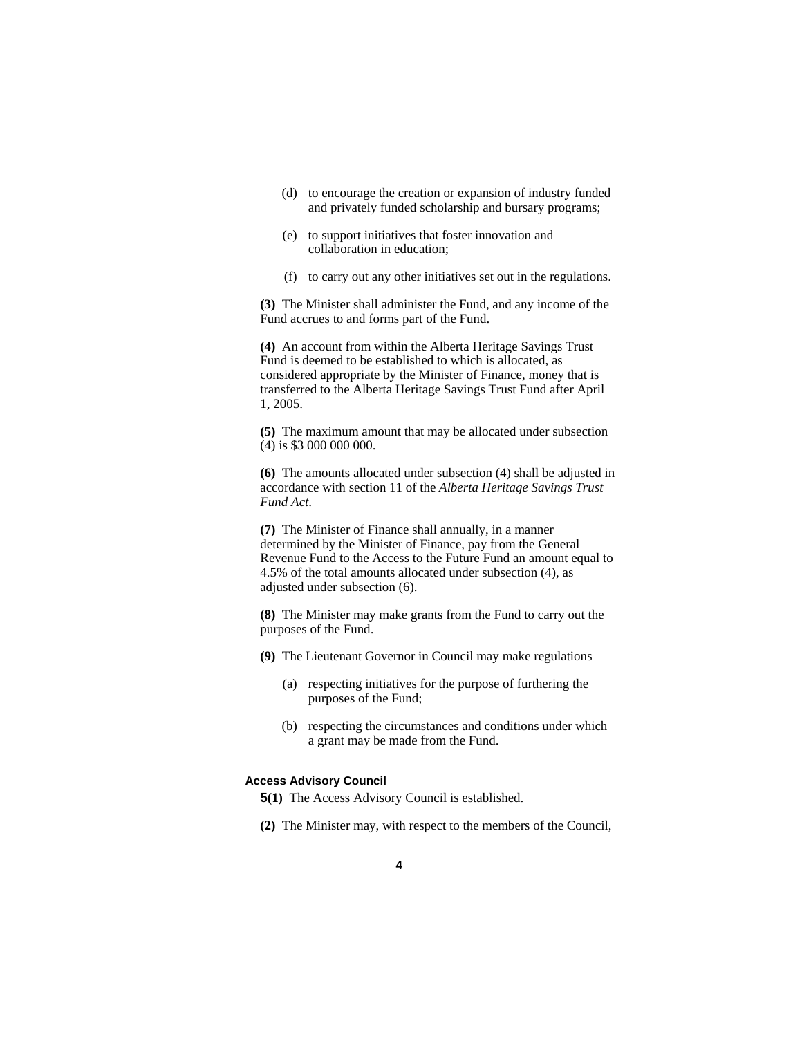- (d) to encourage the creation or expansion of industry funded and privately funded scholarship and bursary programs;
- (e) to support initiatives that foster innovation and collaboration in education;
- (f) to carry out any other initiatives set out in the regulations.

**(3)** The Minister shall administer the Fund, and any income of the Fund accrues to and forms part of the Fund.

**(4)** An account from within the Alberta Heritage Savings Trust Fund is deemed to be established to which is allocated, as considered appropriate by the Minister of Finance, money that is transferred to the Alberta Heritage Savings Trust Fund after April 1, 2005.

**(5)** The maximum amount that may be allocated under subsection (4) is \$3 000 000 000.

**(6)** The amounts allocated under subsection (4) shall be adjusted in accordance with section 11 of the *Alberta Heritage Savings Trust Fund Act*.

**(7)** The Minister of Finance shall annually, in a manner determined by the Minister of Finance, pay from the General Revenue Fund to the Access to the Future Fund an amount equal to 4.5% of the total amounts allocated under subsection (4), as adjusted under subsection (6).

**(8)** The Minister may make grants from the Fund to carry out the purposes of the Fund.

- **(9)** The Lieutenant Governor in Council may make regulations
	- (a) respecting initiatives for the purpose of furthering the purposes of the Fund;
	- (b) respecting the circumstances and conditions under which a grant may be made from the Fund.

#### **Access Advisory Council**

- **5(1)** The Access Advisory Council is established.
- **(2)** The Minister may, with respect to the members of the Council,